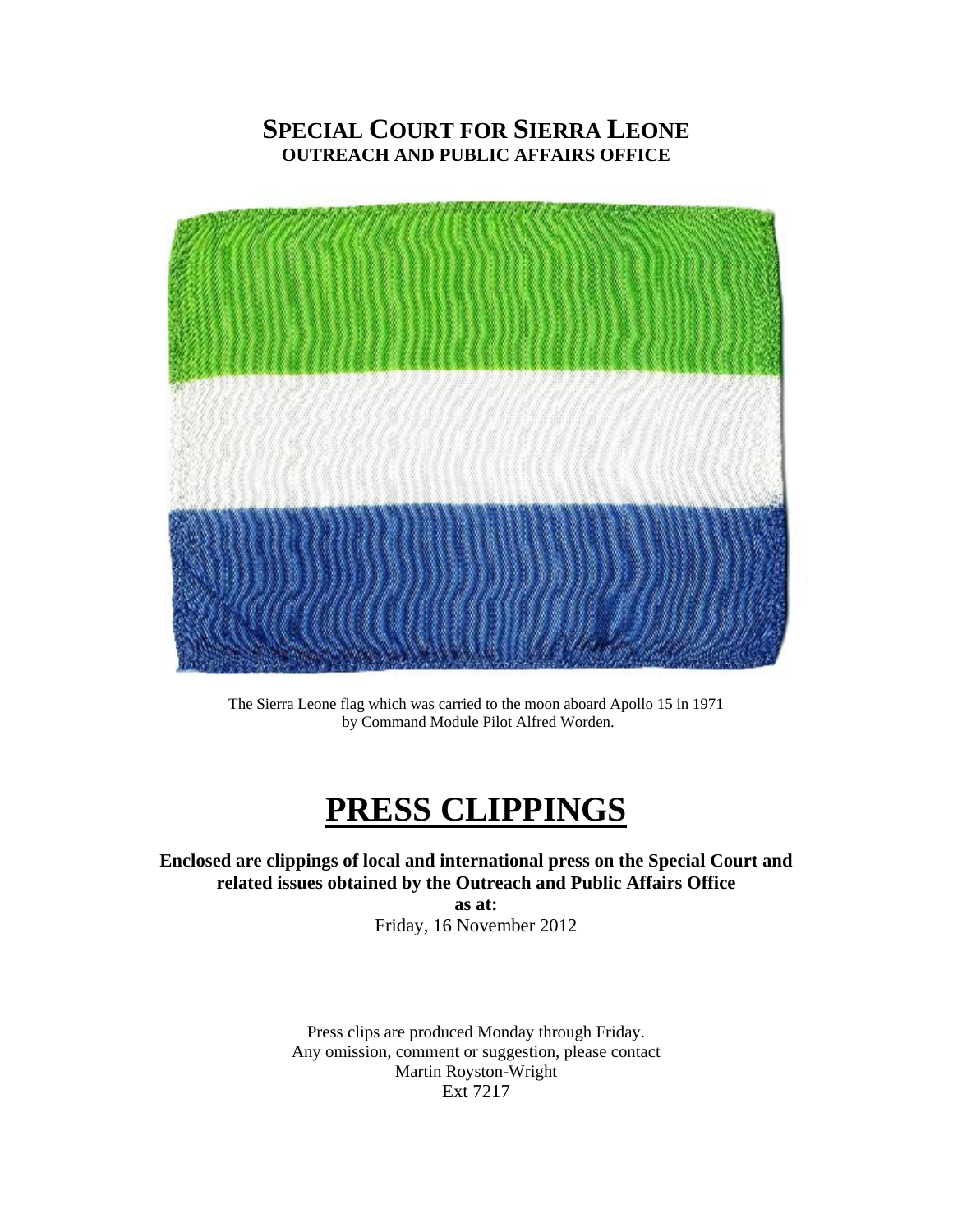### **SPECIAL COURT FOR SIERRA LEONE OUTREACH AND PUBLIC AFFAIRS OFFICE**



The Sierra Leone flag which was carried to the moon aboard Apollo 15 in 1971 by Command Module Pilot Alfred Worden.

# **PRESS CLIPPINGS**

**Enclosed are clippings of local and international press on the Special Court and related issues obtained by the Outreach and Public Affairs Office** 

**as at:**  Friday, 16 November 2012

Press clips are produced Monday through Friday. Any omission, comment or suggestion, please contact Martin Royston-Wright Ext 7217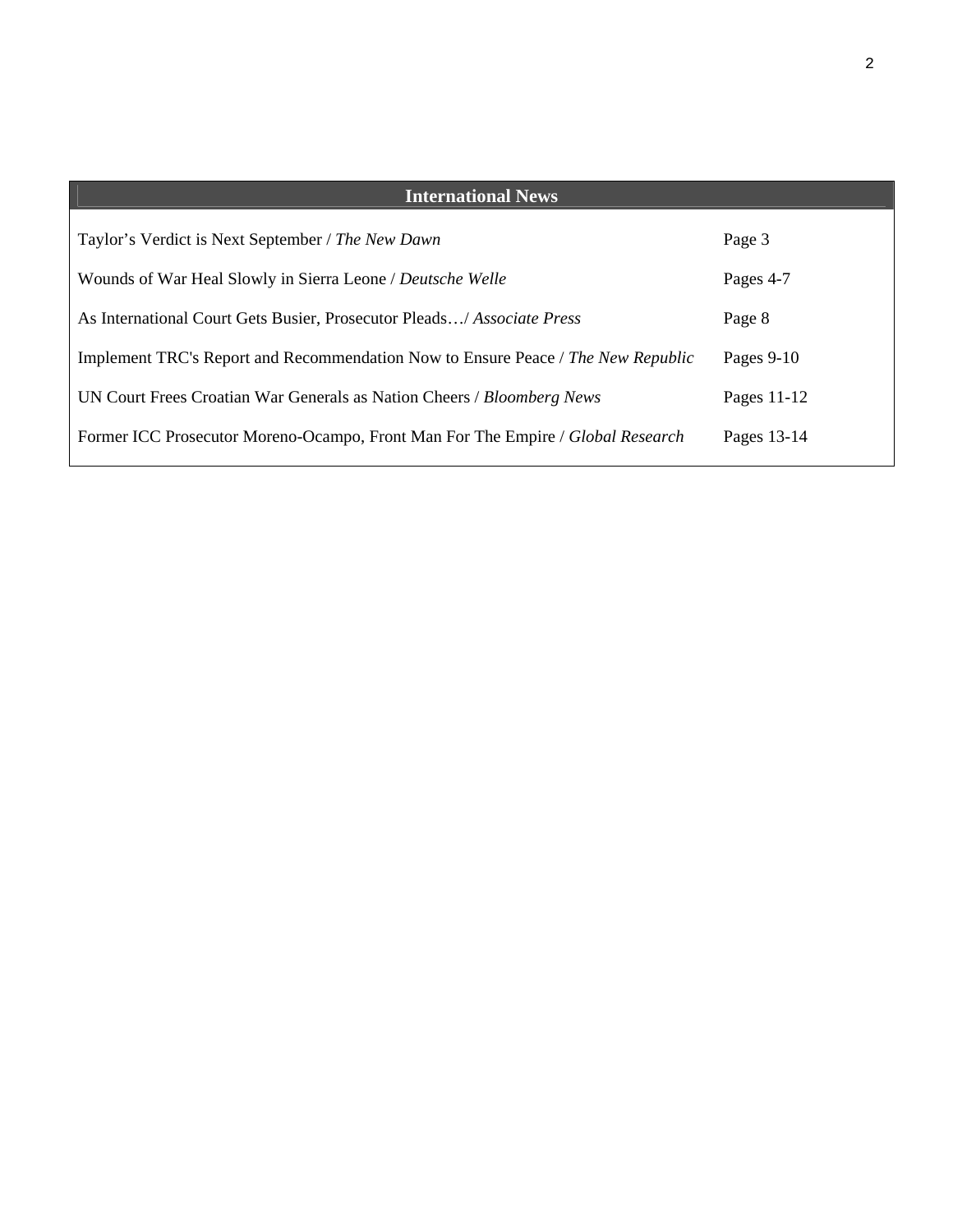| <b>International News</b>                                                        |             |
|----------------------------------------------------------------------------------|-------------|
| Taylor's Verdict is Next September / The New Dawn                                | Page 3      |
| Wounds of War Heal Slowly in Sierra Leone / Deutsche Welle                       | Pages 4-7   |
| As International Court Gets Busier, Prosecutor Pleads/ Associate Press           | Page 8      |
| Implement TRC's Report and Recommendation Now to Ensure Peace / The New Republic | Pages 9-10  |
| UN Court Frees Croatian War Generals as Nation Cheers / Bloomberg News           | Pages 11-12 |
| Former ICC Prosecutor Moreno-Ocampo, Front Man For The Empire / Global Research  | Pages 13-14 |
|                                                                                  |             |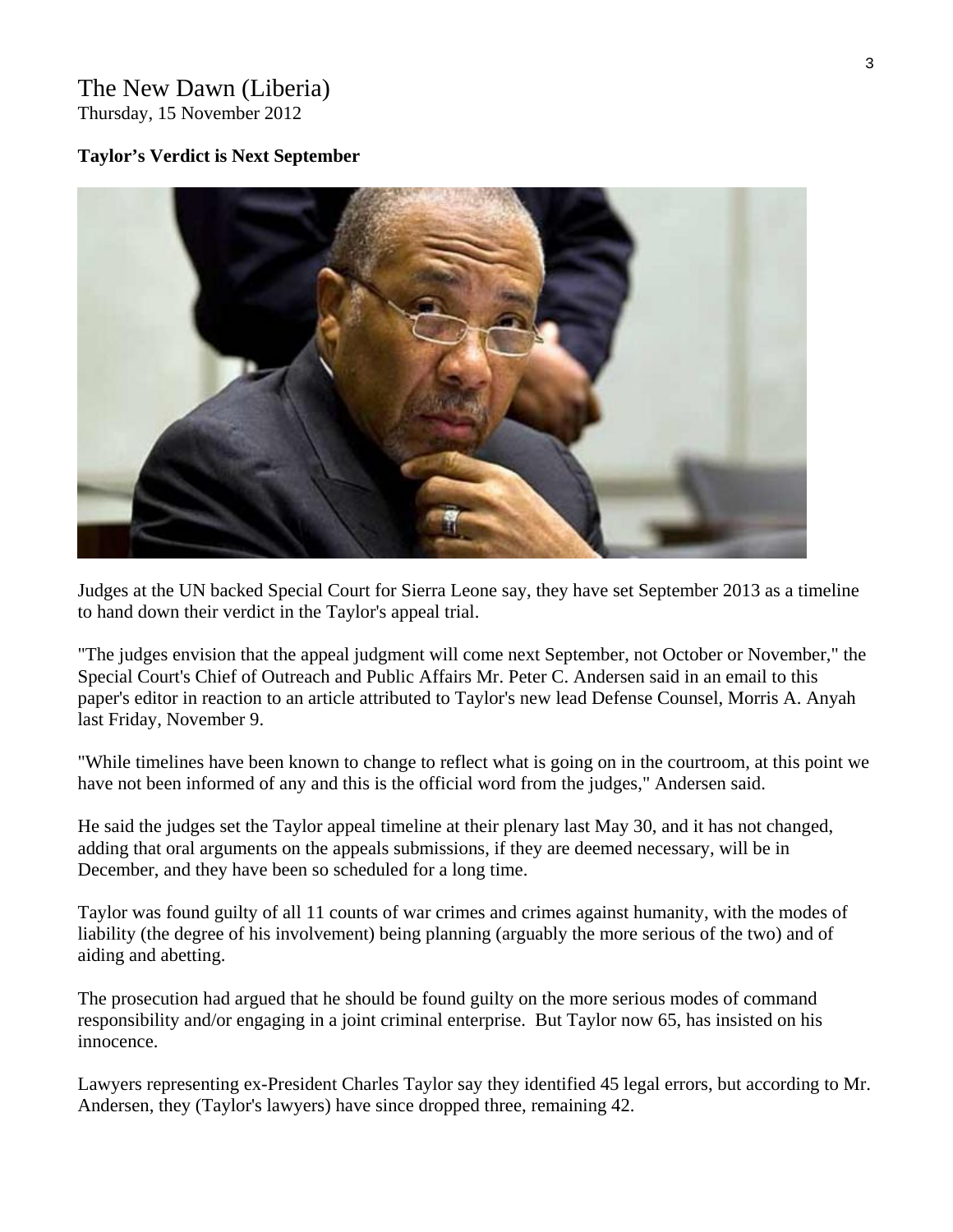## The New Dawn (Liberia)

Thursday, 15 November 2012

#### **Taylor's Verdict is Next September**



Judges at the UN backed Special Court for Sierra Leone say, they have set September 2013 as a timeline to hand down their verdict in the Taylor's appeal trial.

"The judges envision that the appeal judgment will come next September, not October or November," the Special Court's Chief of Outreach and Public Affairs Mr. Peter C. Andersen said in an email to this paper's editor in reaction to an article attributed to Taylor's new lead Defense Counsel, Morris A. Anyah last Friday, November 9.

"While timelines have been known to change to reflect what is going on in the courtroom, at this point we have not been informed of any and this is the official word from the judges," Andersen said.

He said the judges set the Taylor appeal timeline at their plenary last May 30, and it has not changed, adding that oral arguments on the appeals submissions, if they are deemed necessary, will be in December, and they have been so scheduled for a long time.

Taylor was found guilty of all 11 counts of war crimes and crimes against humanity, with the modes of liability (the degree of his involvement) being planning (arguably the more serious of the two) and of aiding and abetting.

The prosecution had argued that he should be found guilty on the more serious modes of command responsibility and/or engaging in a joint criminal enterprise. But Taylor now 65, has insisted on his innocence.

Lawyers representing ex-President Charles Taylor say they identified 45 legal errors, but according to Mr. Andersen, they (Taylor's lawyers) have since dropped three, remaining 42.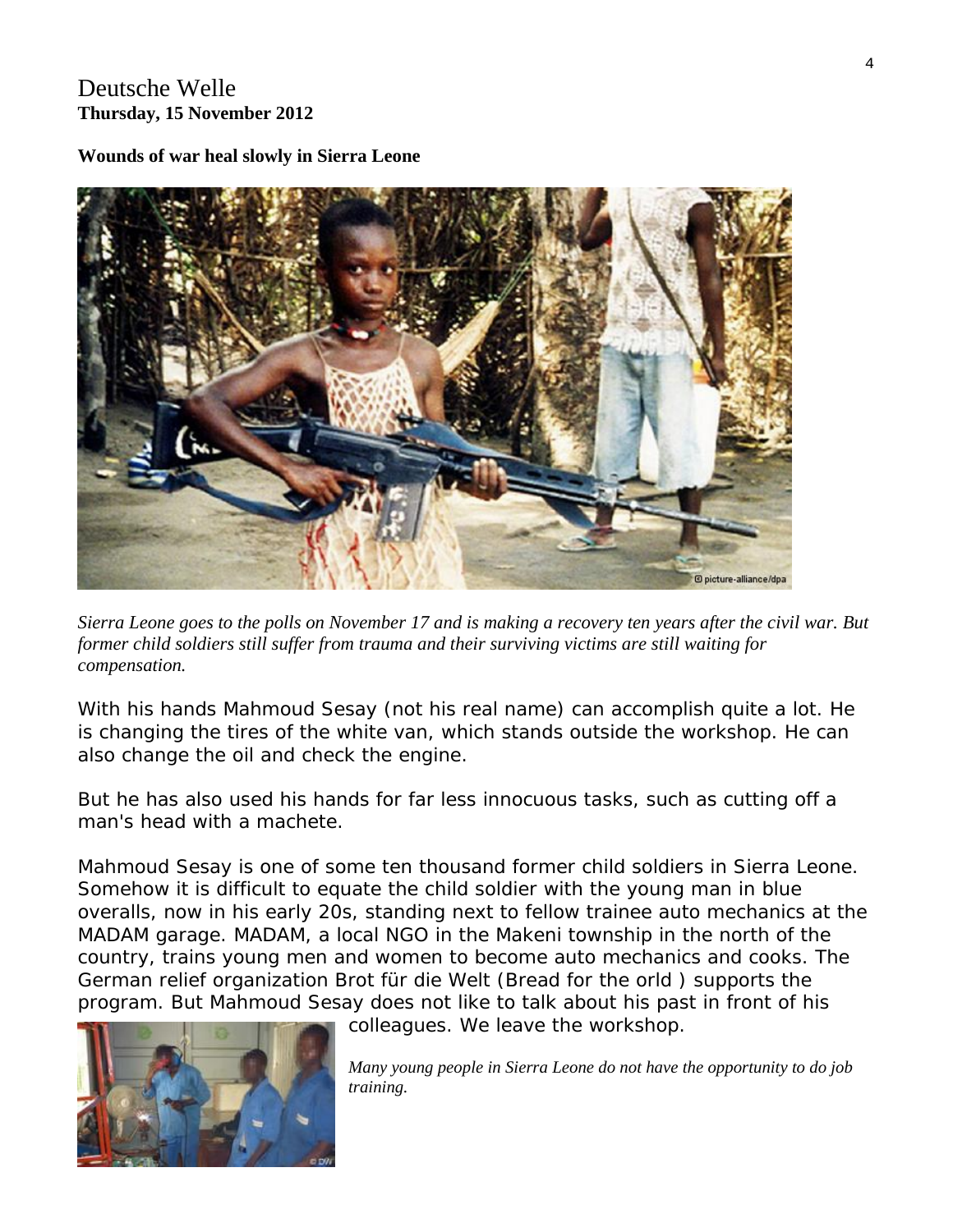#### Deutsche Welle **Thursday, 15 November 2012**

**Wounds of war heal slowly in Sierra Leone**



*Sierra Leone goes to the polls on November 17 and is making a recovery ten years after the civil war. But former child soldiers still suffer from trauma and their surviving victims are still waiting for compensation.* 

With his hands Mahmoud Sesay (not his real name) can accomplish quite a lot. He is changing the tires of the white van, which stands outside the workshop. He can also change the oil and check the engine.

But he has also used his hands for far less innocuous tasks, such as cutting off a man's head with a machete.

Mahmoud Sesay is one of some ten thousand former child soldiers in Sierra Leone. Somehow it is difficult to equate the child soldier with the young man in blue overalls, now in his early 20s, standing next to fellow trainee auto mechanics at the MADAM garage. MADAM, a local NGO in the Makeni township in the north of the country, trains young men and women to become auto mechanics and cooks. The German relief organization Brot für die Welt (Bread for the orld ) supports the program. But Mahmoud Sesay does not like to talk about his past in front of his



colleagues. We leave the workshop.

*Many young people in Sierra Leone do not have the opportunity to do job training.*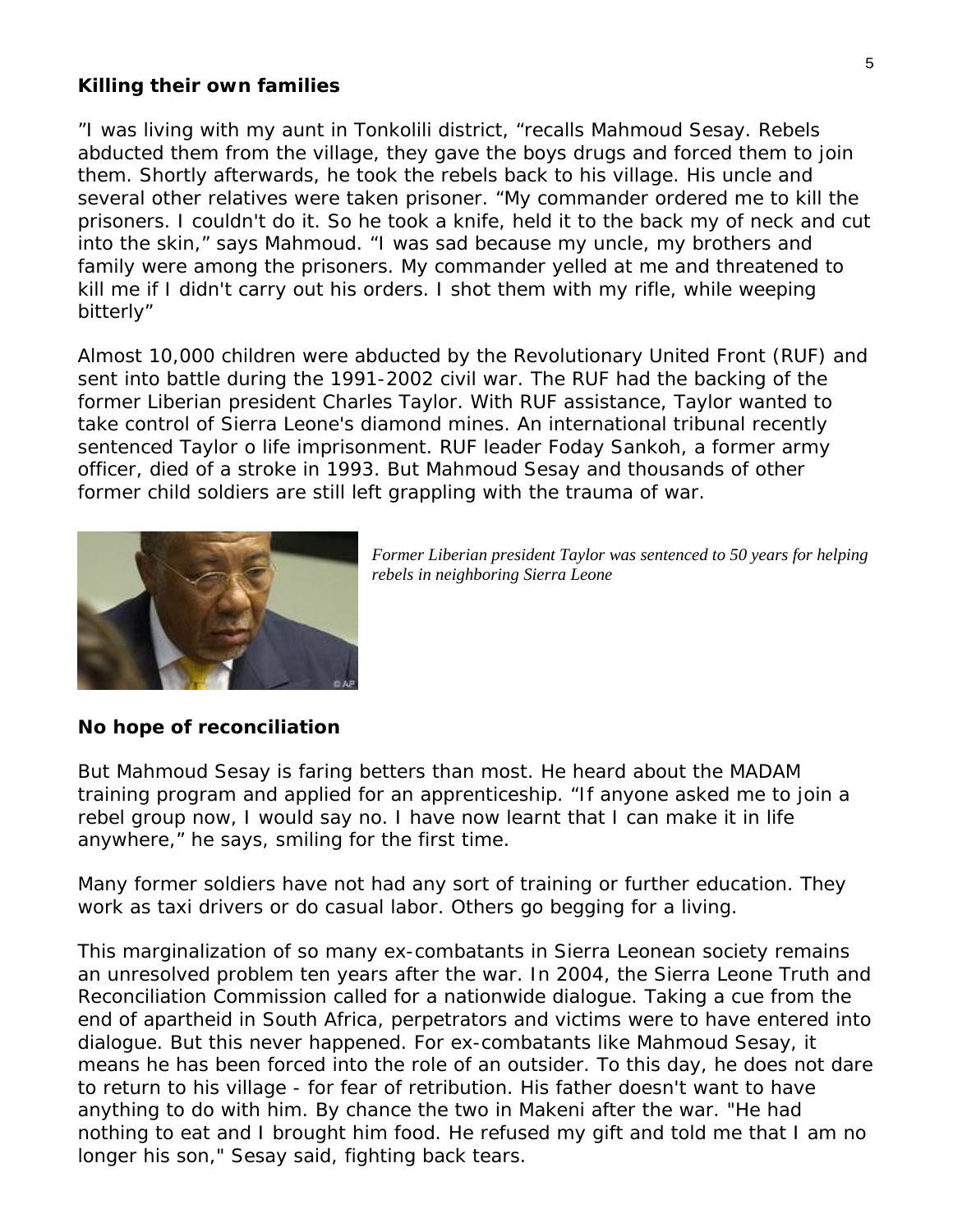#### **Killing their own families**

"I was living with my aunt in Tonkolili district, "recalls Mahmoud Sesay. Rebels abducted them from the village, they gave the boys drugs and forced them to join them. Shortly afterwards, he took the rebels back to his village. His uncle and several other relatives were taken prisoner. "My commander ordered me to kill the prisoners. I couldn't do it. So he took a knife, held it to the back my of neck and cut into the skin," says Mahmoud. "I was sad because my uncle, my brothers and family were among the prisoners. My commander yelled at me and threatened to kill me if I didn't carry out his orders. I shot them with my rifle, while weeping bitterly"

Almost 10,000 children were abducted by the Revolutionary United Front (RUF) and sent into battle during the 1991-2002 civil war. The RUF had the backing of the former Liberian president Charles Taylor. With RUF assistance, Taylor wanted to take control of Sierra Leone's diamond mines. An international tribunal recently sentenced Taylor o life imprisonment. RUF leader Foday Sankoh, a former army officer, died of a stroke in 1993. But Mahmoud Sesay and thousands of other former child soldiers are still left grappling with the trauma of war.



*Former Liberian president Taylor was sentenced to 50 years for helping rebels in neighboring Sierra Leone* 

#### **No hope of reconciliation**

But Mahmoud Sesay is faring betters than most. He heard about the MADAM training program and applied for an apprenticeship. "If anyone asked me to join a rebel group now, I would say no. I have now learnt that I can make it in life anywhere," he says, smiling for the first time.

Many former soldiers have not had any sort of training or further education. They work as taxi drivers or do casual labor. Others go begging for a living.

This marginalization of so many ex-combatants in Sierra Leonean society remains an unresolved problem ten years after the war. In 2004, the Sierra Leone Truth and Reconciliation Commission called for a nationwide dialogue. Taking a cue from the end of apartheid in South Africa, perpetrators and victims were to have entered into dialogue. But this never happened. For ex-combatants like Mahmoud Sesay, it means he has been forced into the role of an outsider. To this day, he does not dare to return to his village - for fear of retribution. His father doesn't want to have anything to do with him. By chance the two in Makeni after the war. "He had nothing to eat and I brought him food. He refused my gift and told me that I am no longer his son," Sesay said, fighting back tears.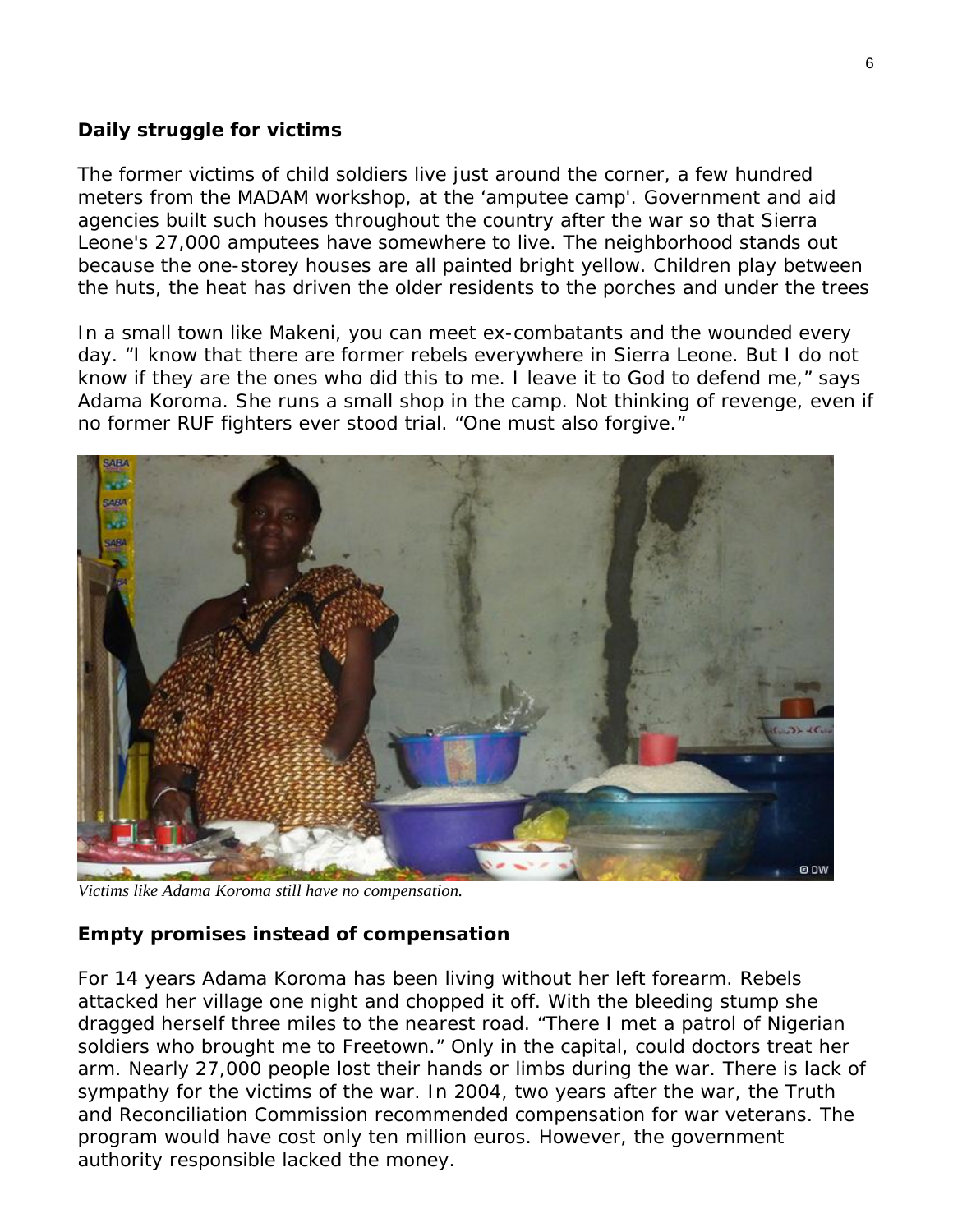#### **Daily struggle for victims**

The former victims of child soldiers live just around the corner, a few hundred meters from the MADAM workshop, at the 'amputee camp'. Government and aid agencies built such houses throughout the country after the war so that Sierra Leone's 27,000 amputees have somewhere to live. The neighborhood stands out because the one-storey houses are all painted bright yellow. Children play between the huts, the heat has driven the older residents to the porches and under the trees

In a small town like Makeni, you can meet ex-combatants and the wounded every day. "I know that there are former rebels everywhere in Sierra Leone. But I do not know if they are the ones who did this to me. I leave it to God to defend me," says Adama Koroma. She runs a small shop in the camp. Not thinking of revenge, even if no former RUF fighters ever stood trial. "One must also forgive."



*Victims like Adama Koroma still have no compensation.* 

#### **Empty promises instead of compensation**

For 14 years Adama Koroma has been living without her left forearm. Rebels attacked her village one night and chopped it off. With the bleeding stump she dragged herself three miles to the nearest road. "There I met a patrol of Nigerian soldiers who brought me to Freetown." Only in the capital, could doctors treat her arm. Nearly 27,000 people lost their hands or limbs during the war. There is lack of sympathy for the victims of the war. In 2004, two years after the war, the Truth and Reconciliation Commission recommended compensation for war veterans. The program would have cost only ten million euros. However, the government authority responsible lacked the money.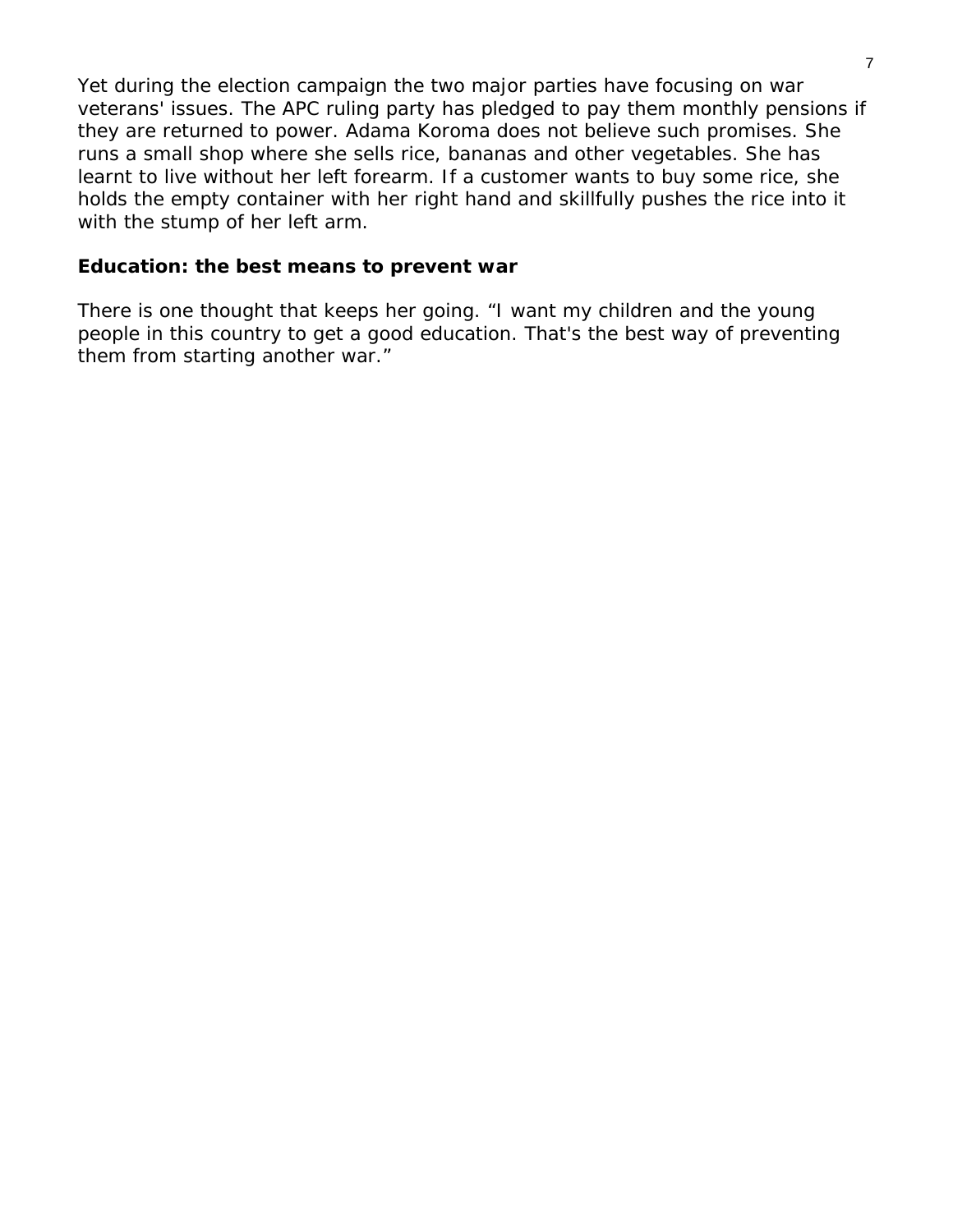Yet during the election campaign the two major parties have focusing on war veterans' issues. The APC ruling party has pledged to pay them monthly pensions if they are returned to power. Adama Koroma does not believe such promises. She runs a small shop where she sells rice, bananas and other vegetables. She has learnt to live without her left forearm. If a customer wants to buy some rice, she holds the empty container with her right hand and skillfully pushes the rice into it with the stump of her left arm.

#### **Education: the best means to prevent war**

There is one thought that keeps her going. "I want my children and the young people in this country to get a good education. That's the best way of preventing them from starting another war."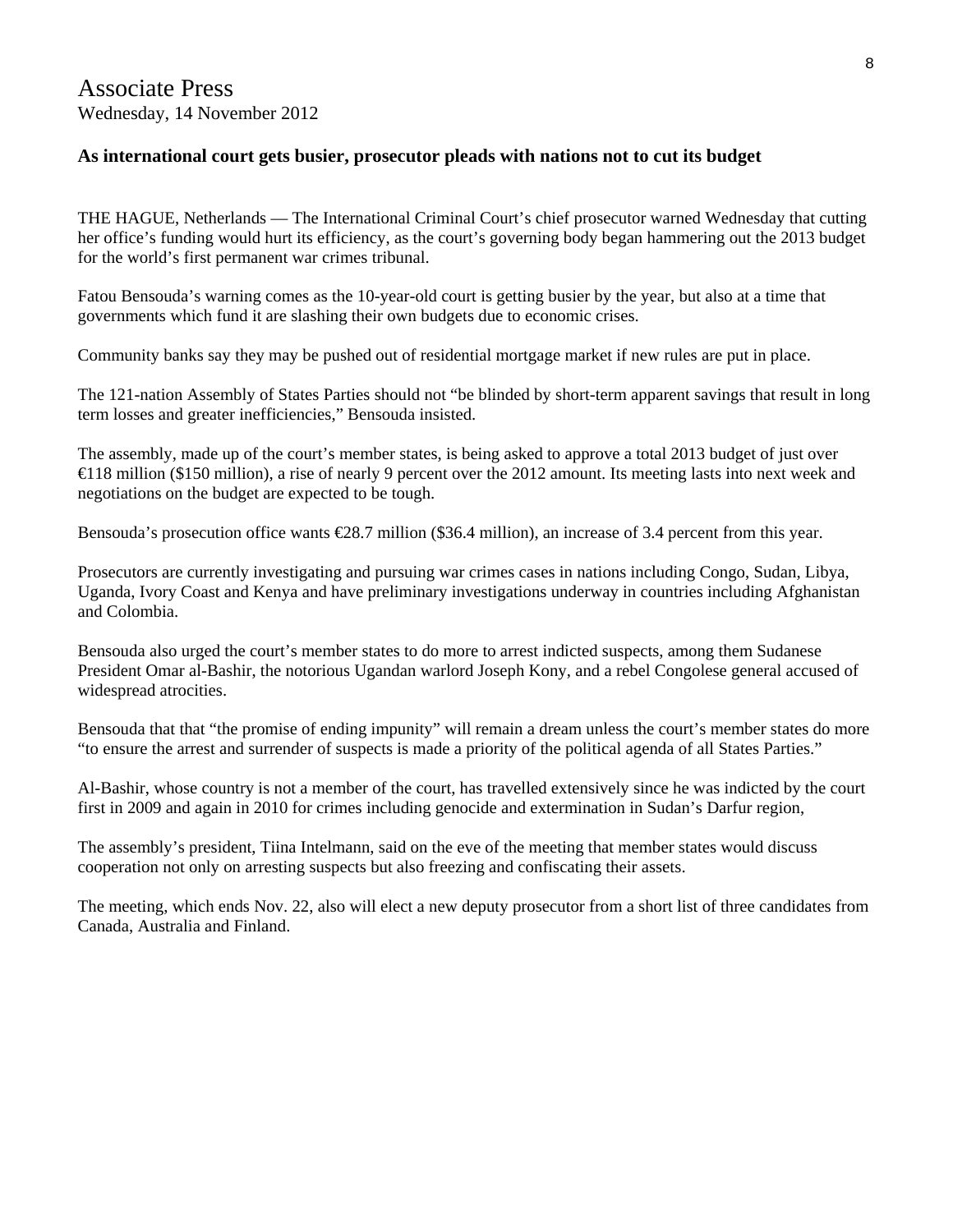#### **As international court gets busier, prosecutor pleads with nations not to cut its budget**

THE HAGUE, Netherlands — The International Criminal Court's chief prosecutor warned Wednesday that cutting her office's funding would hurt its efficiency, as the court's governing body began hammering out the 2013 budget for the world's first permanent war crimes tribunal.

Fatou Bensouda's warning comes as the 10-year-old court is getting busier by the year, but also at a time that governments which fund it are slashing their own budgets due to economic crises.

Community banks say they may be pushed out of residential mortgage market if new rules are put in place.

The 121-nation Assembly of States Parties should not "be blinded by short-term apparent savings that result in long term losses and greater inefficiencies," Bensouda insisted.

The assembly, made up of the court's member states, is being asked to approve a total 2013 budget of just over €118 million (\$150 million), a rise of nearly 9 percent over the 2012 amount. Its meeting lasts into next week and negotiations on the budget are expected to be tough.

Bensouda's prosecution office wants €28.7 million (\$36.4 million), an increase of 3.4 percent from this year.

Prosecutors are currently investigating and pursuing war crimes cases in nations including Congo, Sudan, Libya, Uganda, Ivory Coast and Kenya and have preliminary investigations underway in countries including Afghanistan and Colombia.

Bensouda also urged the court's member states to do more to arrest indicted suspects, among them Sudanese President Omar al-Bashir, the notorious Ugandan warlord Joseph Kony, and a rebel Congolese general accused of widespread atrocities.

Bensouda that that "the promise of ending impunity" will remain a dream unless the court's member states do more "to ensure the arrest and surrender of suspects is made a priority of the political agenda of all States Parties."

Al-Bashir, whose country is not a member of the court, has travelled extensively since he was indicted by the court first in 2009 and again in 2010 for crimes including genocide and extermination in Sudan's Darfur region,

The assembly's president, Tiina Intelmann, said on the eve of the meeting that member states would discuss cooperation not only on arresting suspects but also freezing and confiscating their assets.

The meeting, which ends Nov. 22, also will elect a new deputy prosecutor from a short list of three candidates from Canada, Australia and Finland.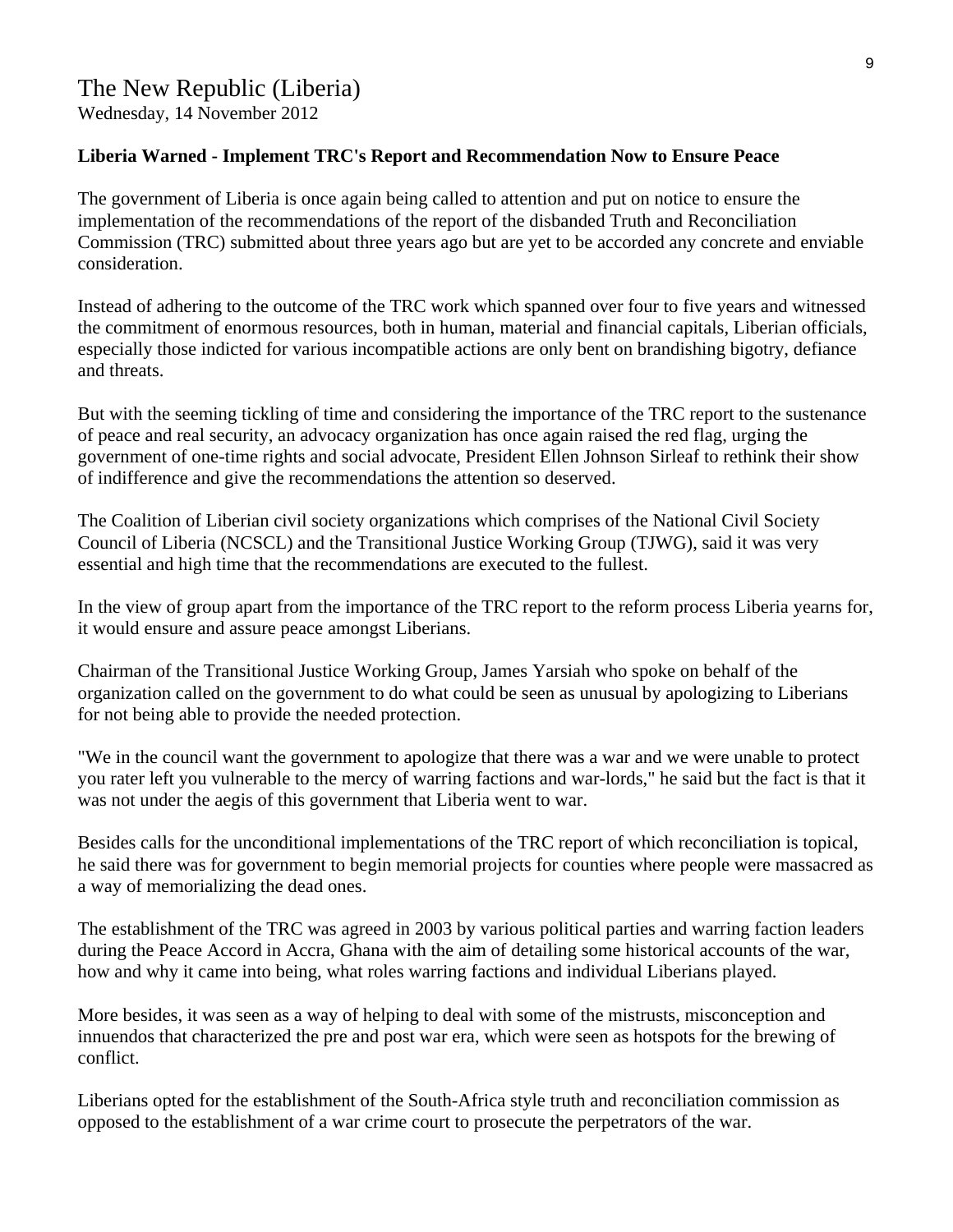Wednesday, 14 November 2012

#### **Liberia Warned - Implement TRC's Report and Recommendation Now to Ensure Peace**

The government of Liberia is once again being called to attention and put on notice to ensure the implementation of the recommendations of the report of the disbanded Truth and Reconciliation Commission (TRC) submitted about three years ago but are yet to be accorded any concrete and enviable consideration.

Instead of adhering to the outcome of the TRC work which spanned over four to five years and witnessed the commitment of enormous resources, both in human, material and financial capitals, Liberian officials, especially those indicted for various incompatible actions are only bent on brandishing bigotry, defiance and threats.

But with the seeming tickling of time and considering the importance of the TRC report to the sustenance of peace and real security, an advocacy organization has once again raised the red flag, urging the government of one-time rights and social advocate, President Ellen Johnson Sirleaf to rethink their show of indifference and give the recommendations the attention so deserved.

The Coalition of Liberian civil society organizations which comprises of the National Civil Society Council of Liberia (NCSCL) and the Transitional Justice Working Group (TJWG), said it was very essential and high time that the recommendations are executed to the fullest.

In the view of group apart from the importance of the TRC report to the reform process Liberia yearns for, it would ensure and assure peace amongst Liberians.

Chairman of the Transitional Justice Working Group, James Yarsiah who spoke on behalf of the organization called on the government to do what could be seen as unusual by apologizing to Liberians for not being able to provide the needed protection.

"We in the council want the government to apologize that there was a war and we were unable to protect you rater left you vulnerable to the mercy of warring factions and war-lords," he said but the fact is that it was not under the aegis of this government that Liberia went to war.

Besides calls for the unconditional implementations of the TRC report of which reconciliation is topical, he said there was for government to begin memorial projects for counties where people were massacred as a way of memorializing the dead ones.

The establishment of the TRC was agreed in 2003 by various political parties and warring faction leaders during the Peace Accord in Accra, Ghana with the aim of detailing some historical accounts of the war, how and why it came into being, what roles warring factions and individual Liberians played.

More besides, it was seen as a way of helping to deal with some of the mistrusts, misconception and innuendos that characterized the pre and post war era, which were seen as hotspots for the brewing of conflict.

Liberians opted for the establishment of the South-Africa style truth and reconciliation commission as opposed to the establishment of a war crime court to prosecute the perpetrators of the war.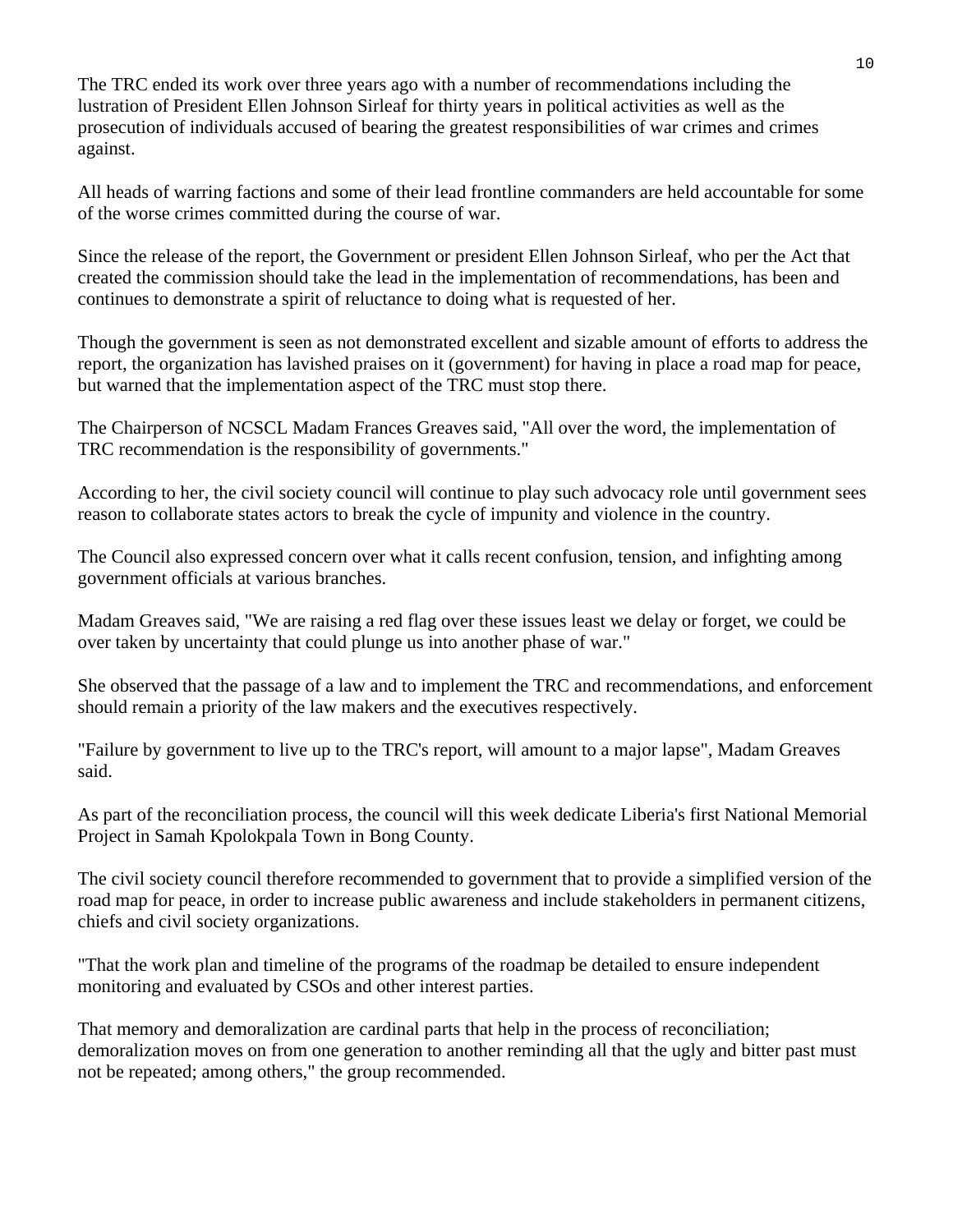The TRC ended its work over three years ago with a number of recommendations including the lustration of President Ellen Johnson Sirleaf for thirty years in political activities as well as the prosecution of individuals accused of bearing the greatest responsibilities of war crimes and crimes against.

All heads of warring factions and some of their lead frontline commanders are held accountable for some of the worse crimes committed during the course of war.

Since the release of the report, the Government or president Ellen Johnson Sirleaf, who per the Act that created the commission should take the lead in the implementation of recommendations, has been and continues to demonstrate a spirit of reluctance to doing what is requested of her.

Though the government is seen as not demonstrated excellent and sizable amount of efforts to address the report, the organization has lavished praises on it (government) for having in place a road map for peace, but warned that the implementation aspect of the TRC must stop there.

The Chairperson of NCSCL Madam Frances Greaves said, "All over the word, the implementation of TRC recommendation is the responsibility of governments."

According to her, the civil society council will continue to play such advocacy role until government sees reason to collaborate states actors to break the cycle of impunity and violence in the country.

The Council also expressed concern over what it calls recent confusion, tension, and infighting among government officials at various branches.

Madam Greaves said, "We are raising a red flag over these issues least we delay or forget, we could be over taken by uncertainty that could plunge us into another phase of war."

She observed that the passage of a law and to implement the TRC and recommendations, and enforcement should remain a priority of the law makers and the executives respectively.

"Failure by government to live up to the TRC's report, will amount to a major lapse", Madam Greaves said.

As part of the reconciliation process, the council will this week dedicate Liberia's first National Memorial Project in Samah Kpolokpala Town in Bong County.

The civil society council therefore recommended to government that to provide a simplified version of the road map for peace, in order to increase public awareness and include stakeholders in permanent citizens, chiefs and civil society organizations.

"That the work plan and timeline of the programs of the roadmap be detailed to ensure independent monitoring and evaluated by CSOs and other interest parties.

That memory and demoralization are cardinal parts that help in the process of reconciliation; demoralization moves on from one generation to another reminding all that the ugly and bitter past must not be repeated; among others," the group recommended.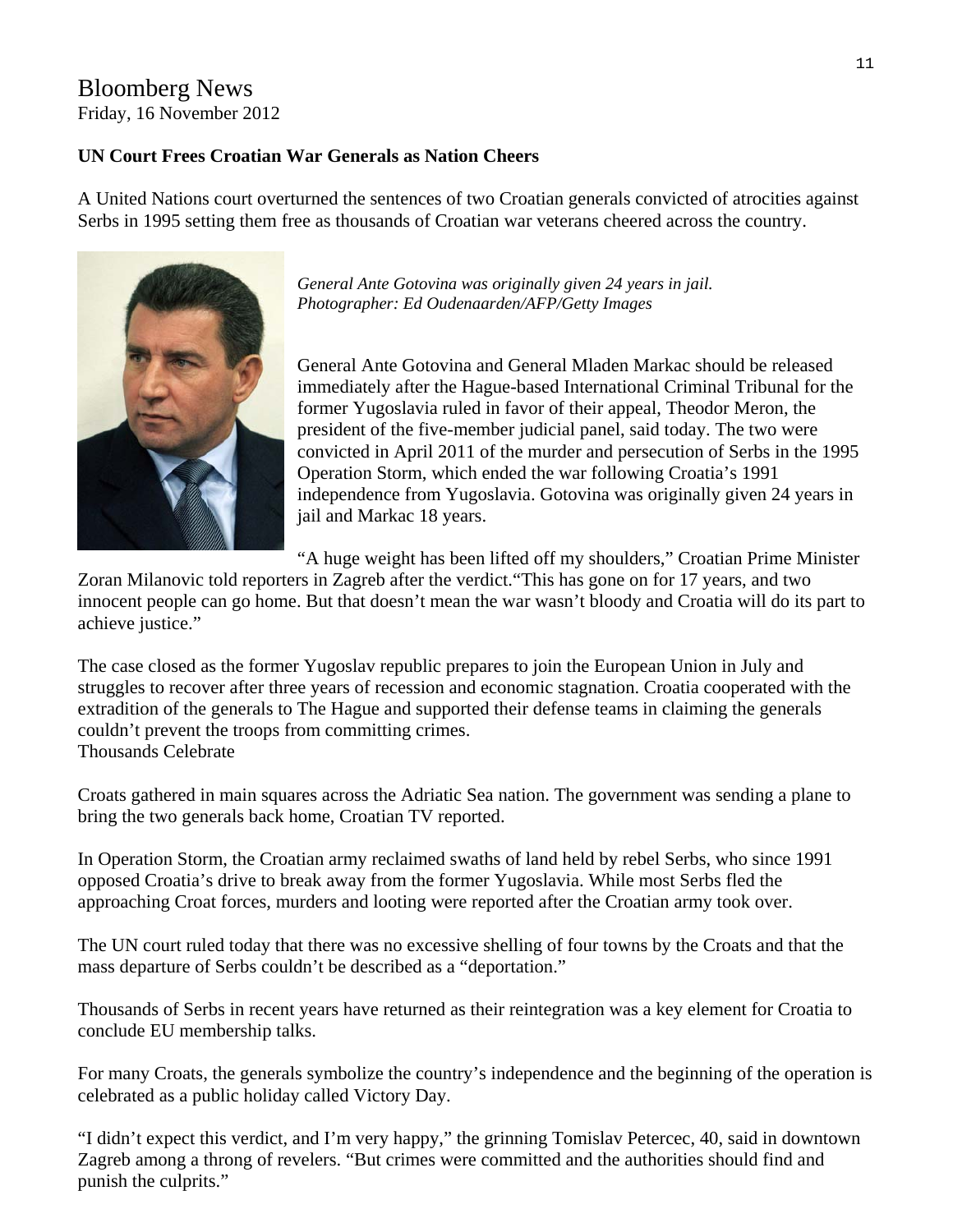#### Bloomberg News Friday, 16 November 2012

#### **UN Court Frees Croatian War Generals as Nation Cheers**

A United Nations court overturned the sentences of two Croatian generals convicted of atrocities against Serbs in 1995 setting them free as thousands of Croatian war veterans cheered across the country.



*General Ante Gotovina was originally given 24 years in jail. Photographer: Ed Oudenaarden/AFP/Getty Images* 

General Ante Gotovina and General Mladen Markac should be released immediately after the Hague-based International Criminal Tribunal for the former Yugoslavia ruled in favor of their appeal, Theodor Meron, the president of the five-member judicial panel, said today. The two were convicted in April 2011 of the murder and persecution of Serbs in the 1995 Operation Storm, which ended the war following Croatia's 1991 independence from Yugoslavia. Gotovina was originally given 24 years in jail and Markac 18 years.

"A huge weight has been lifted off my shoulders," Croatian Prime Minister

Zoran Milanovic told reporters in Zagreb after the verdict."This has gone on for 17 years, and two innocent people can go home. But that doesn't mean the war wasn't bloody and Croatia will do its part to achieve justice."

The case closed as the former Yugoslav republic prepares to join the European Union in July and struggles to recover after three years of recession and economic stagnation. Croatia cooperated with the extradition of the generals to The Hague and supported their defense teams in claiming the generals couldn't prevent the troops from committing crimes. Thousands Celebrate

Croats gathered in main squares across the Adriatic Sea nation. The government was sending a plane to bring the two generals back home, Croatian TV reported.

In Operation Storm, the Croatian army reclaimed swaths of land held by rebel Serbs, who since 1991 opposed Croatia's drive to break away from the former Yugoslavia. While most Serbs fled the approaching Croat forces, murders and looting were reported after the Croatian army took over.

The UN court ruled today that there was no excessive shelling of four towns by the Croats and that the mass departure of Serbs couldn't be described as a "deportation."

Thousands of Serbs in recent years have returned as their reintegration was a key element for Croatia to conclude EU membership talks.

For many Croats, the generals symbolize the country's independence and the beginning of the operation is celebrated as a public holiday called Victory Day.

"I didn't expect this verdict, and I'm very happy," the grinning Tomislav Petercec, 40, said in downtown Zagreb among a throng of revelers. "But crimes were committed and the authorities should find and punish the culprits."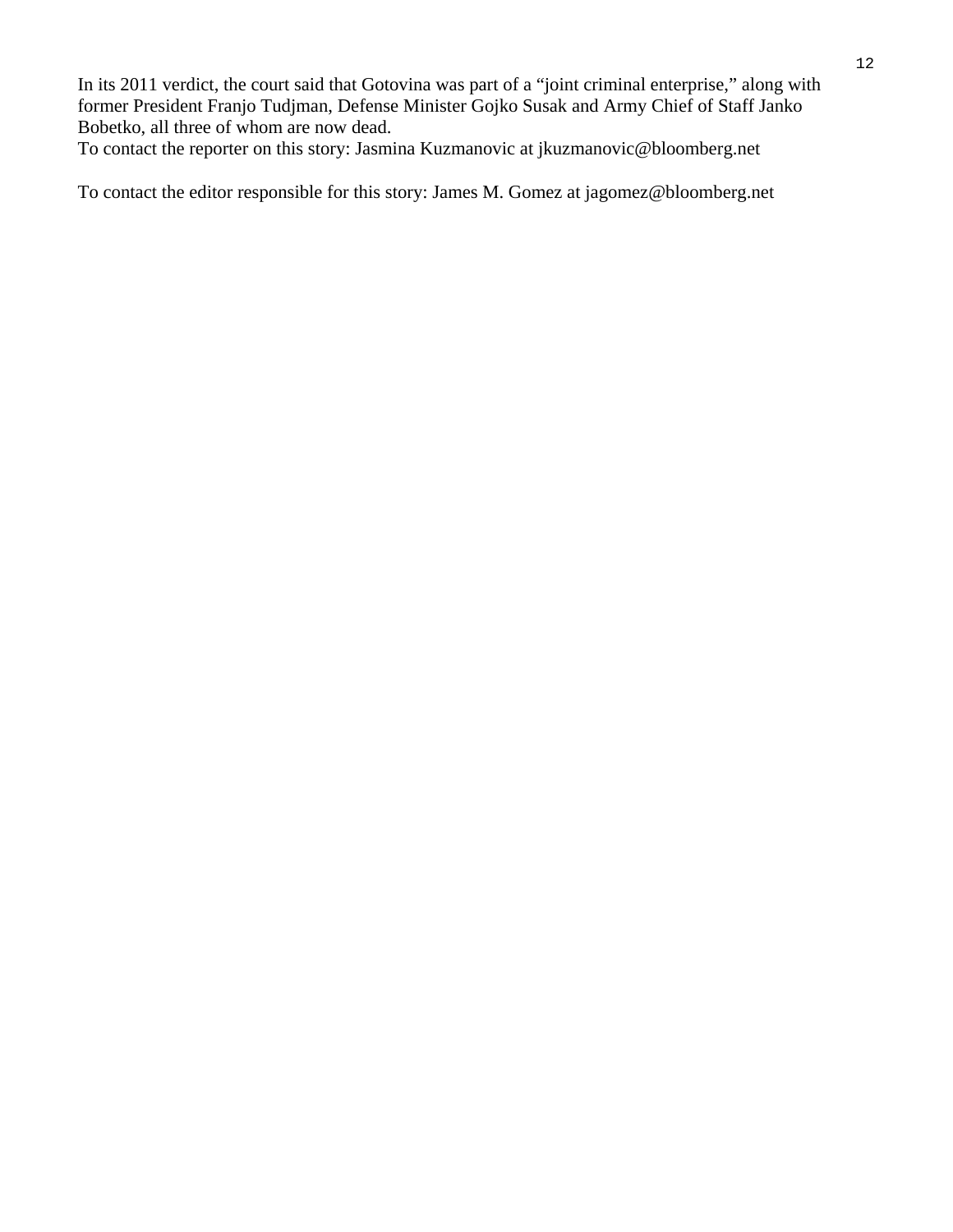In its 2011 verdict, the court said that Gotovina was part of a "joint criminal enterprise," along with former President Franjo Tudjman, Defense Minister Gojko Susak and Army Chief of Staff Janko Bobetko, all three of whom are now dead.

To contact the reporter on this story: Jasmina Kuzmanovic at jkuzmanovic@bloomberg.net

To contact the editor responsible for this story: James M. Gomez at jagomez@bloomberg.net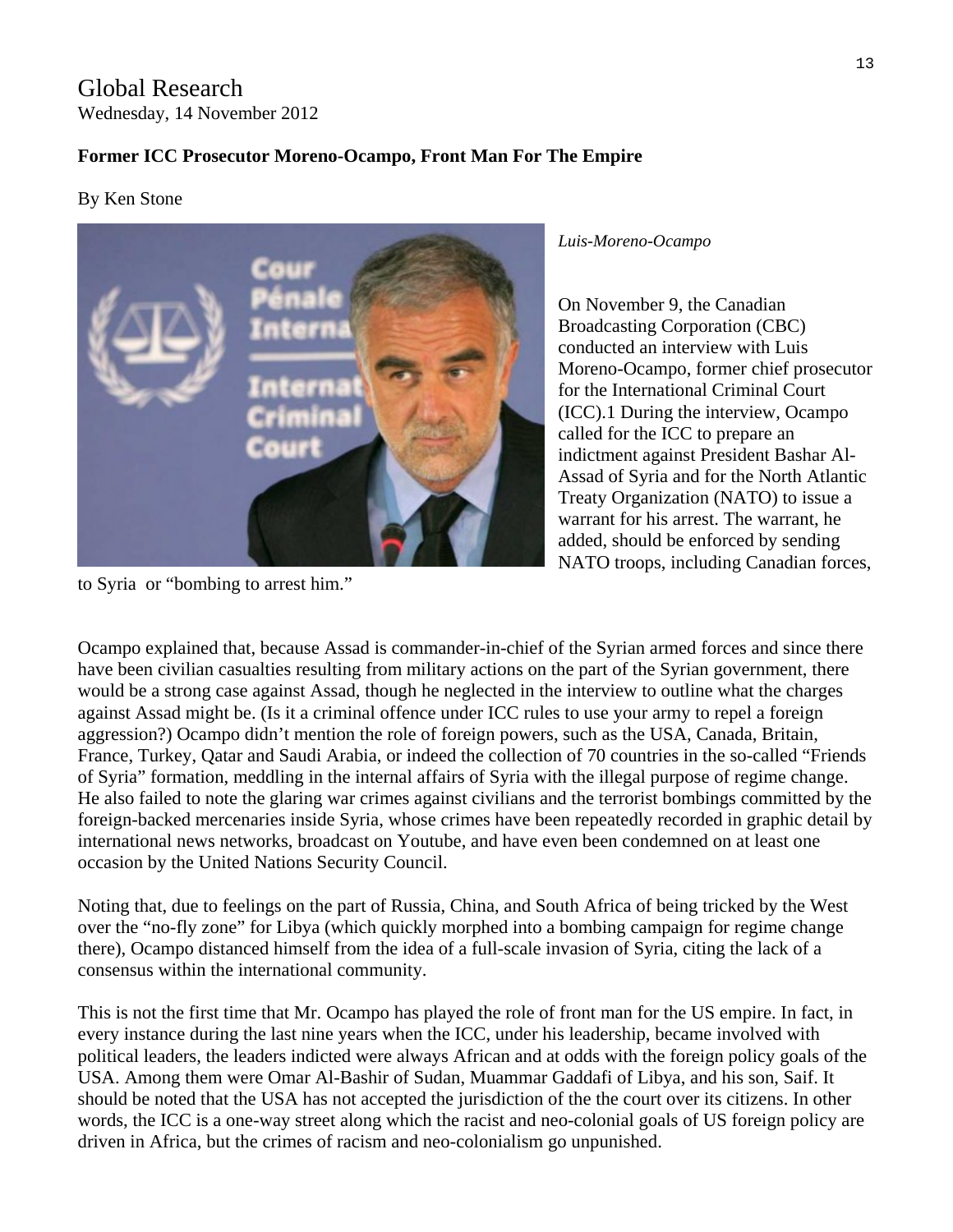Global Research Wednesday, 14 November 2012

#### **Former ICC Prosecutor Moreno-Ocampo, Front Man For The Empire**

#### By Ken Stone



to Syria or "bombing to arrest him."

*Luis-Moreno-Ocampo* 

On November 9, the Canadian Broadcasting Corporation (CBC) conducted an interview with Luis Moreno-Ocampo, former chief prosecutor for the International Criminal Court (ICC).1 During the interview, Ocampo called for the ICC to prepare an indictment against President Bashar Al-Assad of Syria and for the North Atlantic Treaty Organization (NATO) to issue a warrant for his arrest. The warrant, he added, should be enforced by sending NATO troops, including Canadian forces,

Ocampo explained that, because Assad is commander-in-chief of the Syrian armed forces and since there have been civilian casualties resulting from military actions on the part of the Syrian government, there would be a strong case against Assad, though he neglected in the interview to outline what the charges against Assad might be. (Is it a criminal offence under ICC rules to use your army to repel a foreign aggression?) Ocampo didn't mention the role of foreign powers, such as the USA, Canada, Britain, France, Turkey, Qatar and Saudi Arabia, or indeed the collection of 70 countries in the so-called "Friends of Syria" formation, meddling in the internal affairs of Syria with the illegal purpose of regime change. He also failed to note the glaring war crimes against civilians and the terrorist bombings committed by the foreign-backed mercenaries inside Syria, whose crimes have been repeatedly recorded in graphic detail by international news networks, broadcast on Youtube, and have even been condemned on at least one occasion by the United Nations Security Council.

Noting that, due to feelings on the part of Russia, China, and South Africa of being tricked by the West over the "no-fly zone" for Libya (which quickly morphed into a bombing campaign for regime change there), Ocampo distanced himself from the idea of a full-scale invasion of Syria, citing the lack of a consensus within the international community.

This is not the first time that Mr. Ocampo has played the role of front man for the US empire. In fact, in every instance during the last nine years when the ICC, under his leadership, became involved with political leaders, the leaders indicted were always African and at odds with the foreign policy goals of the USA. Among them were Omar Al-Bashir of Sudan, Muammar Gaddafi of Libya, and his son, Saif. It should be noted that the USA has not accepted the jurisdiction of the the court over its citizens. In other words, the ICC is a one-way street along which the racist and neo-colonial goals of US foreign policy are driven in Africa, but the crimes of racism and neo-colonialism go unpunished.